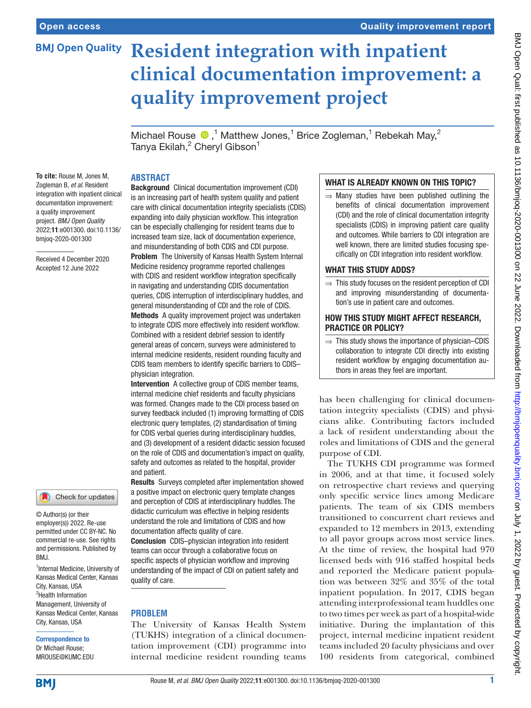# **Resident integration with inpatient BMJ Open Quality clinical documentation improvement: a quality improvement project**

Michael Rouse  $\bullet$ ,<sup>1</sup> Matthew Jones,<sup>1</sup> Brice Zogleman,<sup>1</sup> Rebekah May,<sup>2</sup> Tanya Ekilah,<sup>2</sup> Cheryl Gibson<sup>1</sup>

# **ABSTRACT**

**To cite:** Rouse M, Jones M, Zogleman B, *et al*. Resident integration with inpatient clinical documentation improvement: a quality improvement project. *BMJ Open Quality* 2022;11:e001300. doi:10.1136/ bmjoq-2020-001300

Received 4 December 2020 Accepted 12 June 2022

# Check for updates

© Author(s) (or their employer(s)) 2022. Re-use permitted under CC BY-NC. No commercial re-use. See rights and permissions. Published by RM<sub>J</sub>

<sup>1</sup>Internal Medicine, University of Kansas Medical Center, Kansas City, Kansas, USA <sup>2</sup>Health Information Management, University of Kansas Medical Center, Kansas City, Kansas, USA

# Correspondence to Dr Michael Rouse;

MROUSE@KUMC.EDU

Background Clinical documentation improvement (CDI) is an increasing part of health system quality and patient care with clinical documentation integrity specialists (CDIS) expanding into daily physician workflow. This integration can be especially challenging for resident teams due to increased team size, lack of documentation experience, and misunderstanding of both CDIS and CDI purpose. **Problem** The University of Kansas Health System Internal Medicine residency programme reported challenges with CDIS and resident workflow integration specifically in navigating and understanding CDIS documentation queries, CDIS interruption of interdisciplinary huddles, and general misunderstanding of CDI and the role of CDIS.

Methods A quality improvement project was undertaken to integrate CDIS more effectively into resident workflow. Combined with a resident debrief session to identify general areas of concern, surveys were administered to internal medicine residents, resident rounding faculty and CDIS team members to identify specific barriers to CDIS– physician integration.

Intervention A collective group of CDIS member teams, internal medicine chief residents and faculty physicians was formed. Changes made to the CDI process based on survey feedback included (1) improving formatting of CDIS electronic query templates, (2) standardisation of timing for CDIS verbal queries during interdisciplinary huddles, and (3) development of a resident didactic session focused on the role of CDIS and documentation's impact on quality, safety and outcomes as related to the hospital, provider and patient.

Results Surveys completed after implementation showed a positive impact on electronic query template changes and perception of CDIS at interdisciplinary huddles. The didactic curriculum was effective in helping residents understand the role and limitations of CDIS and how documentation affects quality of care. Conclusion CDIS–physician integration into resident teams can occur through a collaborative focus on specific aspects of physician workflow and improving understanding of the impact of CDI on patient safety and quality of care.

# **PROBLEM**

The University of Kansas Health System (TUKHS) integration of a clinical documentation improvement (CDI) programme into internal medicine resident rounding teams

## WHAT IS ALREADY KNOWN ON THIS TOPIC?

 $\Rightarrow$  Many studies have been published outlining the benefits of clinical documentation improvement (CDI) and the role of clinical documentation integrity specialists (CDIS) in improving patient care quality and outcomes. While barriers to CDI integration are well known, there are limited studies focusing specifically on CDI integration into resident workflow.

## WHAT THIS STUDY ADDS?

⇒ This study focuses on the resident perception of CDI and improving misunderstanding of documentation's use in patient care and outcomes.

### HOW THIS STUDY MIGHT AFFECT RESEARCH, PRACTICE OR POLICY?

⇒ This study shows the importance of physician–CDIS collaboration to integrate CDI directly into existing resident workflow by engaging documentation authors in areas they feel are important.

has been challenging for clinical documentation integrity specialists (CDIS) and physicians alike. Contributing factors included a lack of resident understanding about the roles and limitations of CDIS and the general purpose of CDI.

The TUKHS CDI programme was formed in 2006, and at that time, it focused solely on retrospective chart reviews and querying only specific service lines among Medicare patients. The team of six CDIS members transitioned to concurrent chart reviews and expanded to 12 members in 2013, extending to all payor groups across most service lines. At the time of review, the hospital had 970 licensed beds with 916 staffed hospital beds and reported the Medicare patient population was between 32% and 35% of the total inpatient population. In 2017, CDIS began attending interprofessional team huddles one to two times per week as part of a hospital-wide initiative. During the implantation of this project, internal medicine inpatient resident teams included 20 faculty physicians and over 100 residents from categorical, combined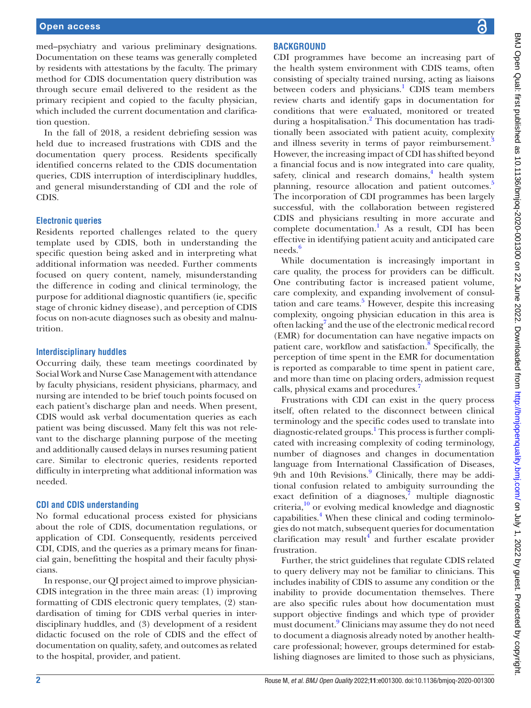med–psychiatry and various preliminary designations. Documentation on these teams was generally completed by residents with attestations by the faculty. The primary method for CDIS documentation query distribution was through secure email delivered to the resident as the primary recipient and copied to the faculty physician, which included the current documentation and clarification question.

In the fall of 2018, a resident debriefing session was held due to increased frustrations with CDIS and the documentation query process. Residents specifically identified concerns related to the CDIS documentation queries, CDIS interruption of interdisciplinary huddles, and general misunderstanding of CDI and the role of CDIS.

#### **Electronic queries**

Residents reported challenges related to the query template used by CDIS, both in understanding the specific question being asked and in interpreting what additional information was needed. Further comments focused on query content, namely, misunderstanding the difference in coding and clinical terminology, the purpose for additional diagnostic quantifiers (ie, specific stage of chronic kidney disease), and perception of CDIS focus on non-acute diagnoses such as obesity and malnutrition.

#### **Interdisciplinary huddles**

Occurring daily, these team meetings coordinated by Social Work and Nurse Case Management with attendance by faculty physicians, resident physicians, pharmacy, and nursing are intended to be brief touch points focused on each patient's discharge plan and needs. When present, CDIS would ask verbal documentation queries as each patient was being discussed. Many felt this was not relevant to the discharge planning purpose of the meeting and additionally caused delays in nurses resuming patient care. Similar to electronic queries, residents reported difficulty in interpreting what additional information was needed.

#### **CDI and CDIS understanding**

No formal educational process existed for physicians about the role of CDIS, documentation regulations, or application of CDI. Consequently, residents perceived CDI, CDIS, and the queries as a primary means for financial gain, benefitting the hospital and their faculty physicians.

In response, our QI project aimed to improve physician-CDIS integration in the three main areas: (1) improving formatting of CDIS electronic query templates, (2) standardisation of timing for CDIS verbal queries in interdisciplinary huddles, and (3) development of a resident didactic focused on the role of CDIS and the effect of documentation on quality, safety, and outcomes as related to the hospital, provider, and patient.

#### **BACKGROUND**

CDI programmes have become an increasing part of the health system environment with CDIS teams, often consisting of specialty trained nursing, acting as liaisons between coders and physicians.<sup>[1](#page-5-0)</sup> CDIS team members review charts and identify gaps in documentation for conditions that were evaluated, monitored or treated during a hospitalisation.<sup>[2](#page-5-1)</sup> This documentation has traditionally been associated with patient acuity, complexity and illness severity in terms of payor reimbursement.<sup>[3](#page-5-2)</sup> However, the increasing impact of CDI has shifted beyond a financial focus and is now integrated into care quality, safety, clinical and research domains,<sup>[4](#page-5-3)</sup> health system planning, resource allocation and patient outcomes.<sup>5</sup> The incorporation of CDI programmes has been largely successful, with the collaboration between registered CDIS and physicians resulting in more accurate and complete documentation.<sup>[1](#page-5-0)</sup> As a result, CDI has been effective in identifying patient acuity and anticipated care needs.<sup>[6](#page-5-5)</sup>

While documentation is increasingly important in care quality, the process for providers can be difficult. One contributing factor is increased patient volume, care complexity, and expanding involvement of consultation and care teams. $5$  However, despite this increasing complexity, ongoing physician education in this area is often lacking<sup>[7](#page-5-6)</sup> and the use of the electronic medical record (EMR) for documentation can have negative impacts on patient care, workflow and satisfaction.<sup>[8](#page-5-7)</sup> Specifically, the perception of time spent in the EMR for documentation is reported as comparable to time spent in patient care, and more than time on placing orders, admission request calls, physical exams and procedures.<sup>[7](#page-5-6)</sup>

Frustrations with CDI can exist in the query process itself, often related to the disconnect between clinical terminology and the specific codes used to translate into diagnostic-related groups.<sup>1</sup> This process is further complicated with increasing complexity of coding terminology, number of diagnoses and changes in documentation language from International Classification of Diseases, [9](#page-5-8)th and 10th Revisions.<sup>9</sup> Clinically, there may be additional confusion related to ambiguity surrounding the exact definition of a diagnoses, $\frac{7}{7}$  multiple diagnostic criteria,<sup>10</sup> or evolving medical knowledge and diagnostic capabilities.<sup>4</sup> When these clinical and coding terminologies do not match, subsequent queries for documentation  $clarification$  may result<sup>[4](#page-5-3)</sup> and further escalate provider frustration.

Further, the strict guidelines that regulate CDIS related to query delivery may not be familiar to clinicians. This includes inability of CDIS to assume any condition or the inability to provide documentation themselves. There are also specific rules about how documentation must support objective findings and which type of provider must document.<sup>9</sup> Clinicians may assume they do not need to document a diagnosis already noted by another healthcare professional; however, groups determined for establishing diagnoses are limited to those such as physicians,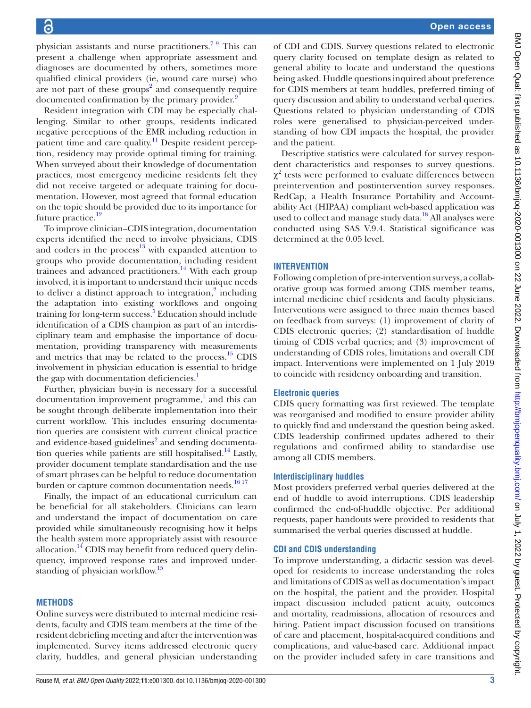physician assistants and nurse practitioners.[7 9](#page-5-6) This can present a challenge when appropriate assessment and diagnoses are documented by others, sometimes more qualified clinical providers (ie, wound care nurse) who are not part of these groups $2$  and consequently require documented confirmation by the primary provider.<sup>[9](#page-5-8)</sup>

Resident integration with CDI may be especially challenging. Similar to other groups, residents indicated negative perceptions of the EMR including reduction in patient time and care quality.<sup>[11](#page-5-10)</sup> Despite resident perception, residency may provide optimal timing for training. When surveyed about their knowledge of documentation practices, most emergency medicine residents felt they did not receive targeted or adequate training for documentation. However, most agreed that formal education on the topic should be provided due to its importance for future practice.<sup>[12](#page-5-11)</sup>

To improve clinician–CDIS integration, documentation experts identified the need to involve physicians, CDIS and coders in the process $13$  with expanded attention to groups who provide documentation, including resident trainees and advanced practitioners.<sup>14</sup> With each group involved, it is important to understand their unique needs to deliver a distinct approach to integration, $\frac{2}{3}$  including the adaptation into existing workflows and ongoing training for long-term success.<sup>[5](#page-5-4)</sup> Education should include identification of a CDIS champion as part of an interdisciplinary team and emphasise the importance of documentation, providing transparency with measurements and metrics that may be related to the process. $^{15}$  $^{15}$  $^{15}$  CDIS involvement in physician education is essential to bridge the gap with documentation deficiencies.<sup>1</sup>

Further, physician buy-in is necessary for a successful documentation improvement programme,<sup>1</sup> and this can be sought through deliberate implementation into their current workflow. This includes ensuring documentation queries are consistent with current clinical practice and evidence-based guidelines<sup>2</sup> and sending documentation queries while patients are still hospitalised.<sup>14</sup> Lastly, provider document template standardisation and the use of smart phrases can be helpful to reduce documentation burden or capture common documentation needs.<sup>1617</sup>

Finally, the impact of an educational curriculum can be beneficial for all stakeholders. Clinicians can learn and understand the impact of documentation on care provided while simultaneously recognising how it helps the health system more appropriately assist with resource allocation. $^{14}$  CDIS may benefit from reduced query delinquency, improved response rates and improved understanding of physician workflow.<sup>15</sup>

#### **METHODS**

Online surveys were distributed to internal medicine residents, faculty and CDIS team members at the time of the resident debriefing meeting and after the intervention was implemented. Survey items addressed electronic query clarity, huddles, and general physician understanding

of CDI and CDIS. Survey questions related to electronic query clarity focused on template design as related to general ability to locate and understand the questions being asked. Huddle questions inquired about preference for CDIS members at team huddles, preferred timing of query discussion and ability to understand verbal queries. Questions related to physician understanding of CDIS roles were generalised to physician-perceived understanding of how CDI impacts the hospital, the provider and the patient.

Descriptive statistics were calculated for survey respondent characteristics and responses to survey questions.  $\chi^2$  tests were performed to evaluate differences between preintervention and postintervention survey responses. RedCap, a Health Insurance Portability and Accountability Act (HIPAA) compliant web-based application was used to collect and manage study data.<sup>[18](#page-5-16)</sup> All analyses were conducted using SAS V.9.4. Statistical significance was determined at the 0.05 level.

#### **INTERVENTION**

Following completion of pre-intervention surveys, a collaborative group was formed among CDIS member teams, internal medicine chief residents and faculty physicians. Interventions were assigned to three main themes based on feedback from surveys: (1) improvement of clarity of CDIS electronic queries; (2) standardisation of huddle timing of CDIS verbal queries; and (3) improvement of understanding of CDIS roles, limitations and overall CDI impact. Interventions were implemented on 1 July 2019 to coincide with residency onboarding and transition.

#### **Electronic queries**

CDIS query formatting was first reviewed. The template was reorganised and modified to ensure provider ability to quickly find and understand the question being asked. CDIS leadership confirmed updates adhered to their regulations and confirmed ability to standardise use among all CDIS members.

#### **Interdisciplinary huddles**

Most providers preferred verbal queries delivered at the end of huddle to avoid interruptions. CDIS leadership confirmed the end-of-huddle objective. Per additional requests, paper handouts were provided to residents that summarised the verbal queries discussed at huddle.

#### **CDI and CDIS understanding**

To improve understanding, a didactic session was developed for residents to increase understanding the roles and limitations of CDIS as well as documentation's impact on the hospital, the patient and the provider. Hospital impact discussion included patient acuity, outcomes and mortality, readmissions, allocation of resources and hiring. Patient impact discussion focused on transitions of care and placement, hospital-acquired conditions and complications, and value-based care. Additional impact on the provider included safety in care transitions and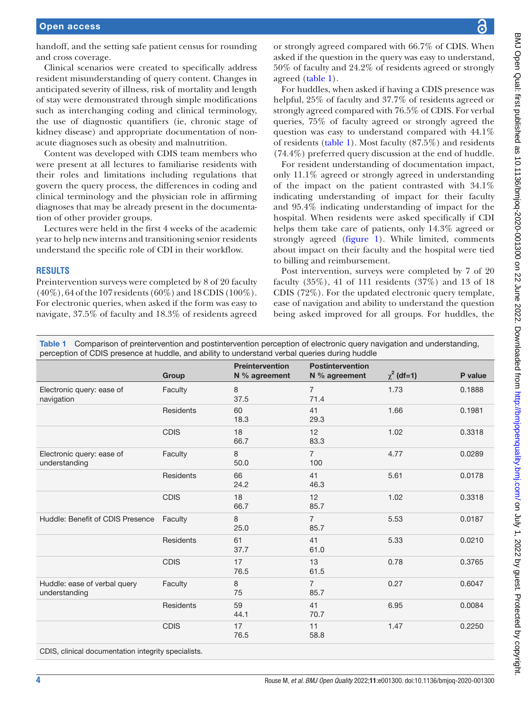handoff, and the setting safe patient census for rounding and cross coverage.

Clinical scenarios were created to specifically address resident misunderstanding of query content. Changes in anticipated severity of illness, risk of mortality and length of stay were demonstrated through simple modifications such as interchanging coding and clinical terminology, the use of diagnostic quantifiers (ie, chronic stage of kidney disease) and appropriate documentation of nonacute diagnoses such as obesity and malnutrition.

Content was developed with CDIS team members who were present at all lectures to familiarise residents with their roles and limitations including regulations that govern the query process, the differences in coding and clinical terminology and the physician role in affirming diagnoses that may be already present in the documentation of other provider groups.

Lectures were held in the first 4 weeks of the academic year to help new interns and transitioning senior residents understand the specific role of CDI in their workflow.

#### **RESULTS**

Preintervention surveys were completed by 8 of 20 faculty (40%), 64 of the 107 residents (60%) and 18 CDIS (100%). For electronic queries, when asked if the form was easy to navigate, 37.5% of faculty and 18.3% of residents agreed or strongly agreed compared with 66.7% of CDIS. When asked if the question in the query was easy to understand, 50% of faculty and 24.2% of residents agreed or strongly agreed ([table](#page-3-0) 1).

For huddles, when asked if having a CDIS presence was helpful, 25% of faculty and 37.7% of residents agreed or strongly agreed compared with 76.5% of CDIS. For verbal queries, 75% of faculty agreed or strongly agreed the question was easy to understand compared with 44.1% of residents [\(table](#page-3-0) 1). Most faculty (87.5%) and residents (74.4%) preferred query discussion at the end of huddle.

For resident understanding of documentation impact, only 11.1% agreed or strongly agreed in understanding of the impact on the patient contrasted with 34.1% indicating understanding of impact for their faculty and 95.4% indicating understanding of impact for the hospital. When residents were asked specifically if CDI helps them take care of patients, only 14.3% agreed or strongly agreed ([figure](#page-4-0) 1). While limited, comments about impact on their faculty and the hospital were tied to billing and reimbursement.

Post intervention, surveys were completed by 7 of 20 faculty (35%), 41 of 111 residents (37%) and 13 of 18 CDIS (72%). For the updated electronic query template, ease of navigation and ability to understand the question being asked improved for all groups. For huddles, the

<span id="page-3-0"></span>Table 1 Comparison of preintervention and postintervention perception of electronic query navigation and understanding, perception of CDIS presence at huddle, and ability to under

|                                               | Group            | Preintervention<br>N % agreement | <b>Postintervention</b><br>N % agreement | $\chi^2$ (df=1) | P value |
|-----------------------------------------------|------------------|----------------------------------|------------------------------------------|-----------------|---------|
| Electronic query: ease of<br>navigation       | Faculty          | 8<br>37.5                        | $\overline{7}$<br>71.4                   | 1.73            | 0.1888  |
|                                               | <b>Residents</b> | 60<br>18.3                       | 41<br>29.3                               | 1.66            | 0.1981  |
|                                               | <b>CDIS</b>      | 18<br>66.7                       | 12<br>83.3                               | 1.02            | 0.3318  |
| Electronic query: ease of<br>understanding    | Faculty          | 8<br>50.0                        | $\overline{7}$<br>100                    | 4.77            | 0.0289  |
|                                               | Residents        | 66<br>24.2                       | 41<br>46.3                               | 5.61            | 0.0178  |
|                                               | <b>CDIS</b>      | 18<br>66.7                       | 12<br>85.7                               | 1.02            | 0.3318  |
| Huddle: Benefit of CDIS Presence              | Faculty          | 8<br>25.0                        | $\overline{7}$<br>85.7                   | 5.53            | 0.0187  |
|                                               | <b>Residents</b> | 61<br>37.7                       | 41<br>61.0                               | 5.33            | 0.0210  |
|                                               | <b>CDIS</b>      | 17<br>76.5                       | 13<br>61.5                               | 0.78            | 0.3765  |
| Huddle: ease of verbal query<br>understanding | Faculty          | 8<br>75                          | $\overline{7}$<br>85.7                   | 0.27            | 0.6047  |
|                                               | Residents        | 59<br>44.1                       | 41<br>70.7                               | 6.95            | 0.0084  |
|                                               | <b>CDIS</b>      | 17<br>76.5                       | 11<br>58.8                               | 1.47            | 0.2250  |

CDIS, clinical documentation integrity specialists.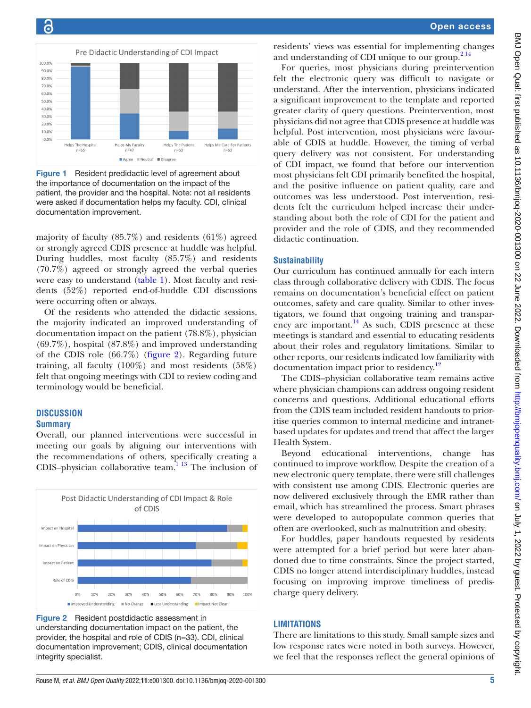

<span id="page-4-0"></span>Figure 1 Resident predidactic level of agreement about the importance of documentation on the impact of the patient, the provider and the hospital. Note: not all residents were asked if documentation helps my faculty. CDI, clinical documentation improvement.

majority of faculty  $(85.7%)$  and residents  $(61%)$  agreed or strongly agreed CDIS presence at huddle was helpful. During huddles, most faculty (85.7%) and residents (70.7%) agreed or strongly agreed the verbal queries were easy to understand ([table](#page-3-0) 1). Most faculty and residents (52%) reported end-of-huddle CDI discussions were occurring often or always.

Of the residents who attended the didactic sessions, the majority indicated an improved understanding of documentation impact on the patient (78.8%), physician (69.7%), hospital (87.8%) and improved understanding of the CDIS role (66.7%) [\(figure](#page-4-1) 2). Regarding future training, all faculty (100%) and most residents (58%) felt that ongoing meetings with CDI to review coding and terminology would be beneficial.

# **DISCUSSION**

# **Summary**

Overall, our planned interventions were successful in meeting our goals by aligning our interventions with the recommendations of others, specifically creating a CDIS–physician collaborative team.<sup>[1 13](#page-5-0)</sup> The inclusion of



<span id="page-4-1"></span>Figure 2 Resident postdidactic assessment in understanding documentation impact on the patient, the provider, the hospital and role of CDIS (n=33). CDI, clinical documentation improvement; CDIS, clinical documentation integrity specialist.

residents' views was essential for implementing changes and understanding of CDI unique to our group. $2^{14}$ 

For queries, most physicians during preintervention felt the electronic query was difficult to navigate or understand. After the intervention, physicians indicated a significant improvement to the template and reported greater clarity of query questions. Preintervention, most physicians did not agree that CDIS presence at huddle was helpful. Post intervention, most physicians were favourable of CDIS at huddle. However, the timing of verbal query delivery was not consistent. For understanding of CDI impact, we found that before our intervention most physicians felt CDI primarily benefited the hospital, and the positive influence on patient quality, care and outcomes was less understood. Post intervention, residents felt the curriculum helped increase their understanding about both the role of CDI for the patient and provider and the role of CDIS, and they recommended didactic continuation.

#### **Sustainability**

Our curriculum has continued annually for each intern class through collaborative delivery with CDIS. The focus remains on documentation's beneficial effect on patient outcomes, safety and care quality. Similar to other investigators, we found that ongoing training and transparency are important.<sup>14</sup> As such, CDIS presence at these meetings is standard and essential to educating residents about their roles and regulatory limitations. Similar to other reports, our residents indicated low familiarity with documentation impact prior to residency.[12](#page-5-11)

The CDIS–physician collaborative team remains active where physician champions can address ongoing resident concerns and questions. Additional educational efforts from the CDIS team included resident handouts to prioritise queries common to internal medicine and intranetbased updates for updates and trend that affect the larger Health System.

Beyond educational interventions, change has continued to improve workflow. Despite the creation of a new electronic query template, there were still challenges with consistent use among CDIS. Electronic queries are now delivered exclusively through the EMR rather than email, which has streamlined the process. Smart phrases were developed to autopopulate common queries that often are overlooked, such as malnutrition and obesity.

For huddles, paper handouts requested by residents were attempted for a brief period but were later abandoned due to time constraints. Since the project started, CDIS no longer attend interdisciplinary huddles, instead focusing on improving improve timeliness of predischarge query delivery.

#### **LIMITATIONS**

There are limitations to this study. Small sample sizes and low response rates were noted in both surveys. However, we feel that the responses reflect the general opinions of